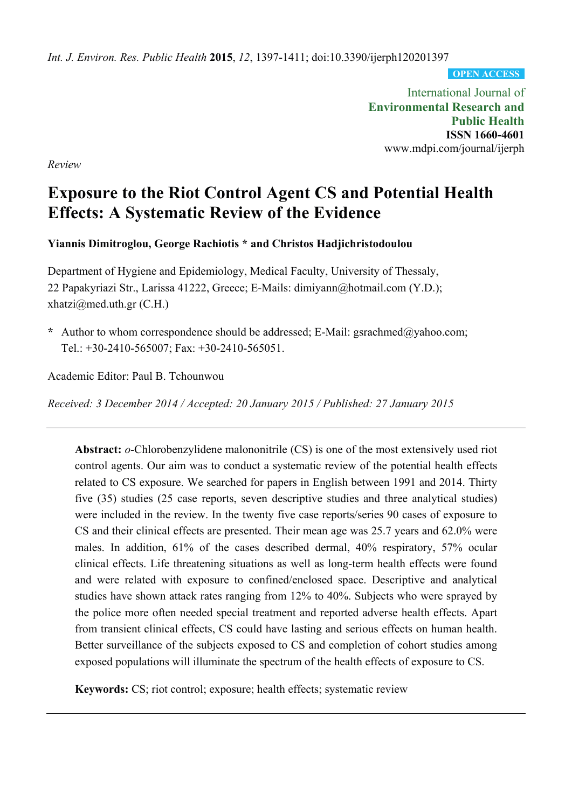*Int. J. Environ. Res. Public Health* **2015**, *12*, 1397-1411; doi:10.3390/ijerph120201397

**OPEN ACCESS**

International Journal of **Environmental Research and Public Health ISSN 1660-4601**  www.mdpi.com/journal/ijerph

*Review* 

# **Exposure to the Riot Control Agent CS and Potential Health Effects: A Systematic Review of the Evidence**

**Yiannis Dimitroglou, George Rachiotis \* and Christos Hadjichristodoulou** 

Department of Hygiene and Epidemiology, Medical Faculty, University of Thessaly, 22 Papakyriazi Str., Larissa 41222, Greece; E-Mails: dimiyann@hotmail.com (Y.D.);  $xhatzi@med.uth.gr (C.H.)$ 

**\*** Author to whom correspondence should be addressed; E-Mail: gsrachmed@yahoo.com; Tel.: +30-2410-565007; Fax: +30-2410-565051.

Academic Editor: Paul B. Tchounwou

*Received: 3 December 2014 / Accepted: 20 January 2015 / Published: 27 January 2015* 

**Abstract:** *o*-Chlorobenzylidene malononitrile (CS) is one of the most extensively used riot control agents. Our aim was to conduct a systematic review of the potential health effects related to CS exposure. We searched for papers in English between 1991 and 2014. Thirty five (35) studies (25 case reports, seven descriptive studies and three analytical studies) were included in the review. In the twenty five case reports/series 90 cases of exposure to CS and their clinical effects are presented. Their mean age was 25.7 years and 62.0% were males. In addition, 61% of the cases described dermal, 40% respiratory, 57% ocular clinical effects. Life threatening situations as well as long-term health effects were found and were related with exposure to confined/enclosed space. Descriptive and analytical studies have shown attack rates ranging from 12% to 40%. Subjects who were sprayed by the police more often needed special treatment and reported adverse health effects. Apart from transient clinical effects, CS could have lasting and serious effects on human health. Better surveillance of the subjects exposed to CS and completion of cohort studies among exposed populations will illuminate the spectrum of the health effects of exposure to CS.

**Keywords:** CS; riot control; exposure; health effects; systematic review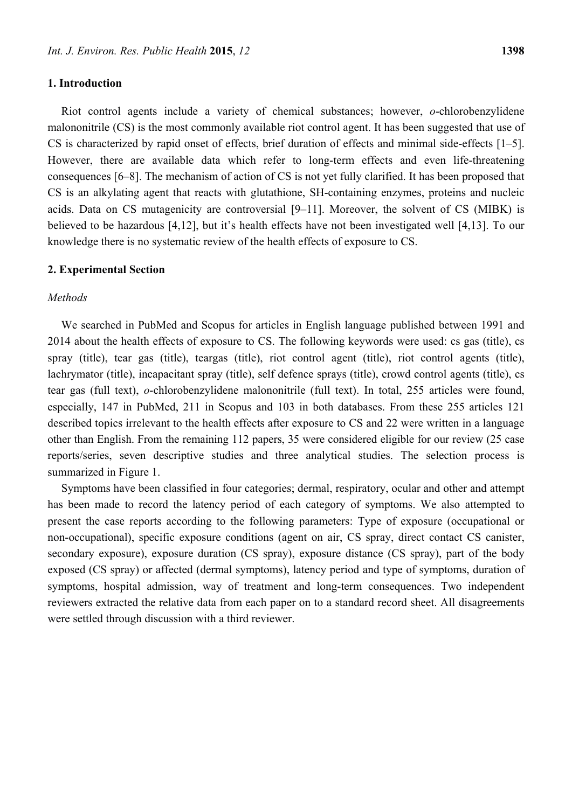## **1. Introduction**

Riot control agents include a variety of chemical substances; however, *o*-chlorobenzylidene malononitrile (CS) is the most commonly available riot control agent. It has been suggested that use of CS is characterized by rapid onset of effects, brief duration of effects and minimal side-effects [1–5]. However, there are available data which refer to long-term effects and even life-threatening consequences [6–8]. The mechanism of action of CS is not yet fully clarified. It has been proposed that CS is an alkylating agent that reacts with glutathione, SH-containing enzymes, proteins and nucleic acids. Data on CS mutagenicity are controversial [9–11]. Moreover, the solvent of CS (MIBK) is believed to be hazardous [4,12], but it's health effects have not been investigated well [4,13]. To our knowledge there is no systematic review of the health effects of exposure to CS.

#### **2. Experimental Section**

#### *Methods*

We searched in PubMed and Scopus for articles in English language published between 1991 and 2014 about the health effects of exposure to CS. The following keywords were used: cs gas (title), cs spray (title), tear gas (title), teargas (title), riot control agent (title), riot control agents (title), lachrymator (title), incapacitant spray (title), self defence sprays (title), crowd control agents (title), cs tear gas (full text), *o*-chlorobenzylidene malononitrile (full text). In total, 255 articles were found, especially, 147 in PubMed, 211 in Scopus and 103 in both databases. From these 255 articles 121 described topics irrelevant to the health effects after exposure to CS and 22 were written in a language other than English. From the remaining 112 papers, 35 were considered eligible for our review (25 case reports/series, seven descriptive studies and three analytical studies. The selection process is summarized in Figure 1.

Symptoms have been classified in four categories; dermal, respiratory, ocular and other and attempt has been made to record the latency period of each category of symptoms. We also attempted to present the case reports according to the following parameters: Type of exposure (occupational or non-occupational), specific exposure conditions (agent on air, CS spray, direct contact CS canister, secondary exposure), exposure duration (CS spray), exposure distance (CS spray), part of the body exposed (CS spray) or affected (dermal symptoms), latency period and type of symptoms, duration of symptoms, hospital admission, way of treatment and long-term consequences. Two independent reviewers extracted the relative data from each paper on to a standard record sheet. All disagreements were settled through discussion with a third reviewer.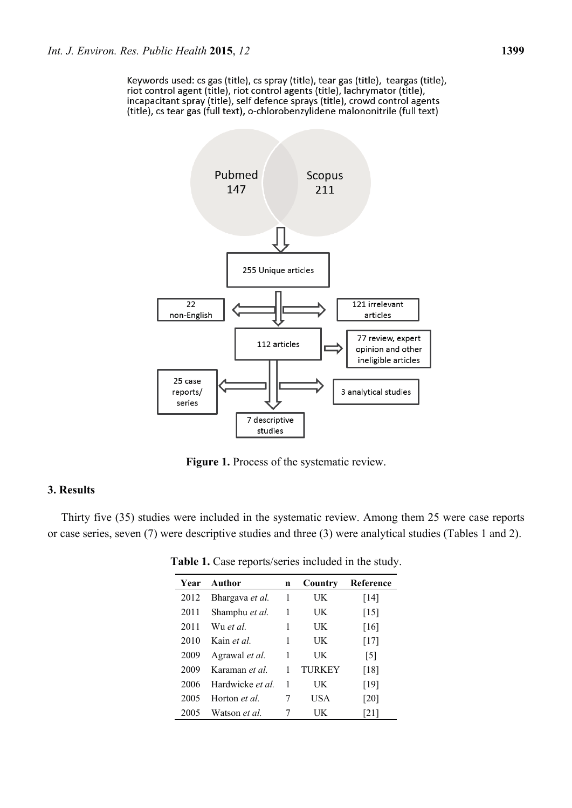Keywords used: cs gas (title), cs spray (title), tear gas (title), teargas (title), riot control agent (title), riot control agents (title), lachrymator (title), incapacitant spray (title), self defence sprays (title), crowd control agents (title), cs tear gas (full text), o-chlorobenzylidene malononitrile (full text)



Figure 1. Process of the systematic review.

# **3. Results**

Thirty five (35) studies were included in the systematic review. Among them 25 were case reports or case series, seven (7) were descriptive studies and three (3) were analytical studies (Tables 1 and 2).

| Year | Author                  | n | Country | Reference          |
|------|-------------------------|---|---------|--------------------|
| 2012 | Bhargava et al.         | 1 | UK      | [14]               |
| 2011 | Shamphu et al.          | 1 | UK      | $[15]$             |
| 2011 | Wu et al                | 1 | UK      | $\lceil 16 \rceil$ |
| 2010 | Kain <i>et al</i>       | 1 | UK      | $[17]$             |
| 2009 | Agrawal <i>et al.</i>   | 1 | UK      | [5]                |
| 2009 | Karaman et al.          | 1 | TURKEY  | [18]               |
| 2006 | Hardwicke <i>et al.</i> | 1 | UK      | [19]               |
| 2005 | Horton <i>et al</i>     | 7 | USA     | $\lceil 20 \rceil$ |
| 2005 | Watson <i>et al.</i>    |   | UK      | [21]               |

**Table 1.** Case reports/series included in the study.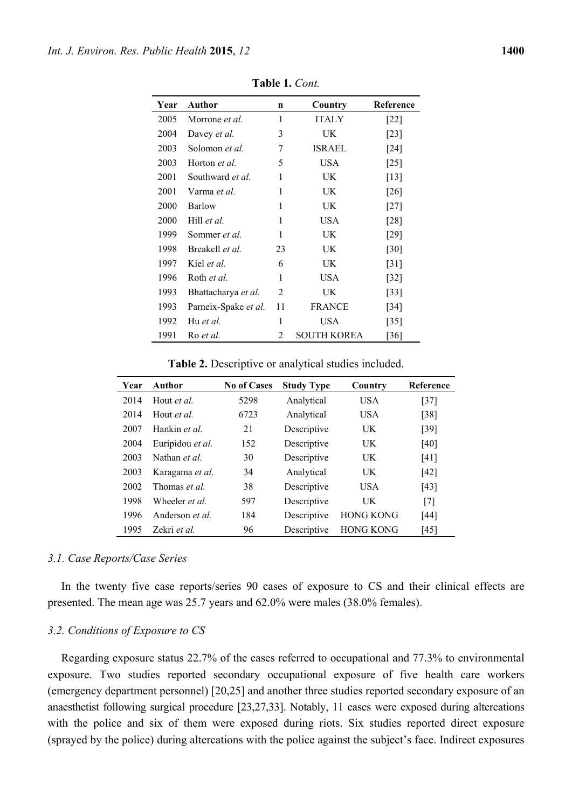| Year | Author                | n  | Country            | Reference                    |
|------|-----------------------|----|--------------------|------------------------------|
| 2005 | Morrone <i>et al.</i> | 1  | <b>ITALY</b>       | $\left\lceil 22\right\rceil$ |
| 2004 | Davey et al.          | 3  | UK                 | $\lceil 23 \rceil$           |
| 2003 | Solomon et al.        | 7  | <b>ISRAEL</b>      | $[24]$                       |
| 2003 | Horton et al.         | 5  | USA                | $\lceil 25 \rceil$           |
| 2001 | Southward et al.      | 1  | UK                 | $\lceil 13 \rceil$           |
| 2001 | Varma <i>et al</i> .  | 1  | UK                 | [26]                         |
| 2000 | Barlow                | 1  | UK.                | $[27]$                       |
| 2000 | Hill et al.           | 1  | USA                | [28]                         |
| 1999 | Sommer <i>et al.</i>  | 1  | UK                 | $[29]$                       |
| 1998 | Breakell et al.       | 23 | UK                 | [30]                         |
| 1997 | Kiel <i>et al.</i>    | 6  | UK                 | $\lceil 31 \rceil$           |
| 1996 | Roth et al.           | 1  | USA                | $[32]$                       |
| 1993 | Bhattacharya et al.   | 2  | UK                 | $[33]$                       |
| 1993 | Parneix-Spake et al.  | 11 | <b>FRANCE</b>      | $[34]$                       |
| 1992 | Hu et al.             | 1  | USA                | $\lceil 35 \rceil$           |
| 1991 | Ro et al.             | 2  | <b>SOUTH KOREA</b> | $\lceil 36 \rceil$           |

**Table 1.** *Cont.* 

**Table 2.** Descriptive or analytical studies included.

| Year | Author                 | <b>No of Cases</b> | <b>Study Type</b> | Country          | Reference |
|------|------------------------|--------------------|-------------------|------------------|-----------|
| 2014 | Hout <i>et al</i>      | 5298               | Analytical        | USA.             | $[37]$    |
| 2014 | Hout <i>et al.</i>     | 6723               | Analytical        | USA.             | $[38]$    |
| 2007 | Hankin et al.          | 21                 | Descriptive       | UK               | $[39]$    |
| 2004 | Euripidou et al.       | 152                | Descriptive       | UK               | [40]      |
| 2003 | Nathan <i>et al</i>    | 30                 | Descriptive       | UK               | [41]      |
| 2003 | Karagama et al.        | 34                 | Analytical        | UK               | $[42]$    |
| 2002 | Thomas et al.          | 38                 | Descriptive       | <b>USA</b>       | [43]      |
| 1998 | Wheeler <i>et al</i>   | 597                | Descriptive       | UK               | [7]       |
| 1996 | Anderson <i>et al.</i> | 184                | Descriptive       | <b>HONG KONG</b> | $[44]$    |
| 1995 | Zekri <i>et al.</i>    | 96                 | Descriptive       | <b>HONG KONG</b> | $[45]$    |

#### *3.1. Case Reports/Case Series*

In the twenty five case reports/series 90 cases of exposure to CS and their clinical effects are presented. The mean age was 25.7 years and 62.0% were males (38.0% females).

#### *3.2. Conditions of Exposure to CS*

Regarding exposure status 22.7% of the cases referred to occupational and 77.3% to environmental exposure. Two studies reported secondary occupational exposure of five health care workers (emergency department personnel) [20,25] and another three studies reported secondary exposure of an anaesthetist following surgical procedure [23,27,33]. Notably, 11 cases were exposed during altercations with the police and six of them were exposed during riots. Six studies reported direct exposure (sprayed by the police) during altercations with the police against the subject's face. Indirect exposures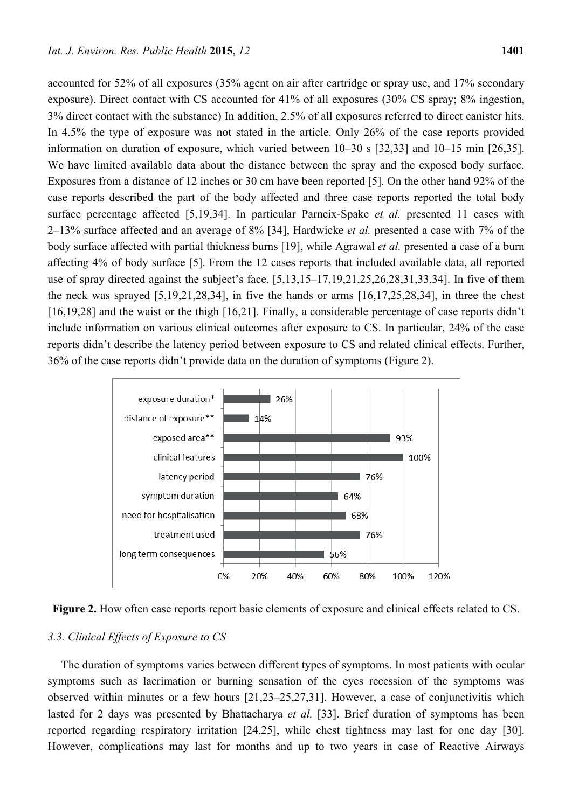accounted for 52% of all exposures (35% agent on air after cartridge or spray use, and 17% secondary exposure). Direct contact with CS accounted for 41% of all exposures (30% CS spray; 8% ingestion, 3% direct contact with the substance) In addition, 2.5% of all exposures referred to direct canister hits. In 4.5% the type of exposure was not stated in the article. Only 26% of the case reports provided information on duration of exposure, which varied between 10–30 s [32,33] and 10–15 min [26,35]. We have limited available data about the distance between the spray and the exposed body surface. Exposures from a distance of 12 inches or 30 cm have been reported [5]. On the other hand 92% of the case reports described the part of the body affected and three case reports reported the total body surface percentage affected [5,19,34]. In particular Parneix-Spake *et al.* presented 11 cases with 2–13% surface affected and an average of 8% [34], Hardwicke *et al.* presented a case with 7% of the body surface affected with partial thickness burns [19], while Agrawal *et al.* presented a case of a burn affecting 4% of body surface [5]. From the 12 cases reports that included available data, all reported use of spray directed against the subject's face. [5,13,15–17,19,21,25,26,28,31,33,34]. In five of them the neck was sprayed [5,19,21,28,34], in five the hands or arms [16,17,25,28,34], in three the chest [16,19,28] and the waist or the thigh [16,21]. Finally, a considerable percentage of case reports didn't include information on various clinical outcomes after exposure to CS. In particular, 24% of the case reports didn't describe the latency period between exposure to CS and related clinical effects. Further, 36% of the case reports didn't provide data on the duration of symptoms (Figure 2).





## *3.3. Clinical Effects of Exposure to CS*

The duration of symptoms varies between different types of symptoms. In most patients with ocular symptoms such as lacrimation or burning sensation of the eyes recession of the symptoms was observed within minutes or a few hours [21,23–25,27,31]. However, a case of conjunctivitis which lasted for 2 days was presented by Bhattacharya *et al.* [33]. Brief duration of symptoms has been reported regarding respiratory irritation [24,25], while chest tightness may last for one day [30]. However, complications may last for months and up to two years in case of Reactive Airways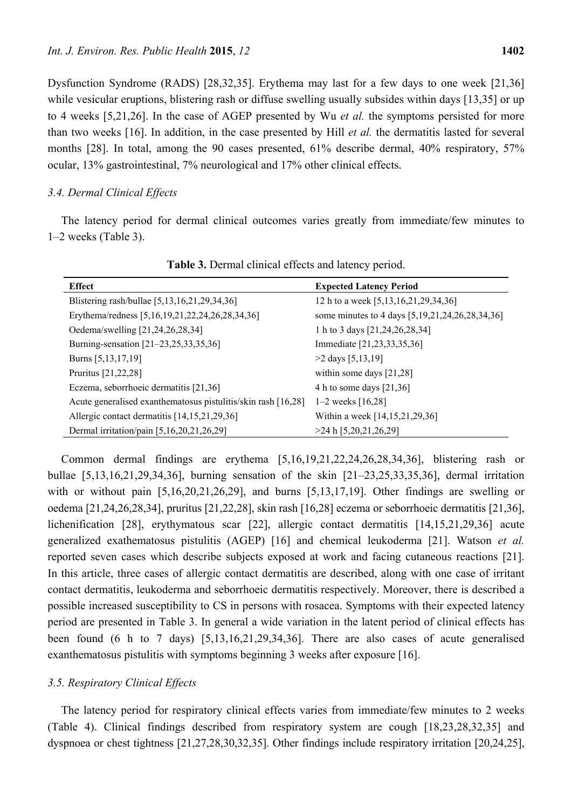Dysfunction Syndrome (RADS) [28,32,35]. Erythema may last for a few days to one week [21,36] while vesicular eruptions, blistering rash or diffuse swelling usually subsides within days [13,35] or up to 4 weeks [5,21,26]. In the case of AGEP presented by Wu *et al.* the symptoms persisted for more than two weeks [16]. In addition, in the case presented by Hill *et al.* the dermatitis lasted for several months [28]. In total, among the 90 cases presented, 61% describe dermal, 40% respiratory, 57% ocular, 13% gastrointestinal, 7% neurological and 17% other clinical effects.

# *3.4. Dermal Clinical Effects*

The latency period for dermal clinical outcomes varies greatly from immediate/few minutes to 1–2 weeks (Table 3).

| <b>Effect</b>                                                 | <b>Expected Latency Period</b>                  |
|---------------------------------------------------------------|-------------------------------------------------|
| Blistering rash/bullae [5,13,16,21,29,34,36]                  | 12 h to a week [5,13,16,21,29,34,36]            |
| Erythema/redness [5,16,19,21,22,24,26,28,34,36]               | some minutes to 4 days [5,19,21,24,26,28,34,36] |
| Oedema/swelling [21,24,26,28,34]                              | 1 h to 3 days [21,24,26,28,34]                  |
| Burning-sensation [21-23,25,33,35,36]                         | Immediate [21,23,33,35,36]                      |
| Burns [5,13,17,19]                                            | $>2$ days [5,13,19]                             |
| Pruritus [21,22,28]                                           | within some days $[21,28]$                      |
| Eczema, seborrhoeic dermatitis [21,36]                        | 4 h to some days $[21,36]$                      |
| Acute generalised exanthematosus pistulitis/skin rash [16,28] | 1–2 weeks $[16,28]$                             |
| Allergic contact dermatitis [14,15,21,29,36]                  | Within a week [14,15,21,29,36]                  |
| Dermal irritation/pain [5,16,20,21,26,29]                     | >24 h [5, 20, 21, 26, 29]                       |

**Table 3.** Dermal clinical effects and latency period.

Common dermal findings are erythema [5,16,19,21,22,24,26,28,34,36], blistering rash or bullae [5,13,16,21,29,34,36], burning sensation of the skin [21–23,25,33,35,36], dermal irritation with or without pain [5,16,20,21,26,29], and burns [5,13,17,19]. Other findings are swelling or oedema [21,24,26,28,34], pruritus [21,22,28], skin rash [16,28] eczema or seborrhoeic dermatitis [21,36], lichenification [28], erythymatous scar [22], allergic contact dermatitis [14,15,21,29,36] acute generalized exathematosus pistulitis (AGEP) [16] and chemical leukoderma [21]. Watson *et al.* reported seven cases which describe subjects exposed at work and facing cutaneous reactions [21]. In this article, three cases of allergic contact dermatitis are described, along with one case of irritant contact dermatitis, leukoderma and seborrhoeic dermatitis respectively. Moreover, there is described a possible increased susceptibility to CS in persons with rosacea. Symptoms with their expected latency period are presented in Table 3. In general a wide variation in the latent period of clinical effects has been found (6 h to 7 days) [5,13,16,21,29,34,36]. There are also cases of acute generalised exanthematosus pistulitis with symptoms beginning 3 weeks after exposure [16].

# *3.5. Respiratory Clinical Effects*

The latency period for respiratory clinical effects varies from immediate/few minutes to 2 weeks (Table 4). Clinical findings described from respiratory system are cough [18,23,28,32,35] and dyspnoea or chest tightness [21,27,28,30,32,35]. Other findings include respiratory irritation [20,24,25],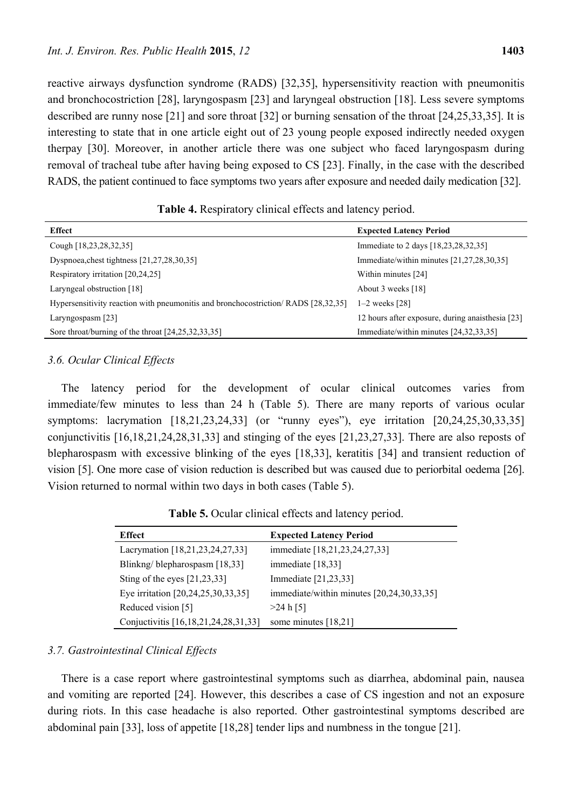reactive airways dysfunction syndrome (RADS) [32,35], hypersensitivity reaction with pneumonitis and bronchocostriction [28], laryngospasm [23] and laryngeal obstruction [18]. Less severe symptoms described are runny nose [21] and sore throat [32] or burning sensation of the throat [24,25,33,35]. It is interesting to state that in one article eight out of 23 young people exposed indirectly needed oxygen therpay [30]. Moreover, in another article there was one subject who faced laryngospasm during removal of tracheal tube after having being exposed to CS [23]. Finally, in the case with the described RADS, the patient continued to face symptoms two years after exposure and needed daily medication [32].

| <b>Table 4.</b> Respiratory clinical effects and latency period. |  |
|------------------------------------------------------------------|--|
|------------------------------------------------------------------|--|

| <b>Effect</b>                                                                     | <b>Expected Latency Period</b>                   |
|-----------------------------------------------------------------------------------|--------------------------------------------------|
| Cough [18,23,28,32,35]                                                            | Immediate to 2 days [18,23,28,32,35]             |
| Dyspnoea, chest tightness $[21, 27, 28, 30, 35]$                                  | Immediate/within minutes [21,27,28,30,35]        |
| Respiratory irritation [20,24,25]                                                 | Within minutes [24]                              |
| Laryngeal obstruction [18]                                                        | About 3 weeks [18]                               |
| Hypersensitivity reaction with pneumonitis and bronchocostriction/RADS [28,32,35] | $1-2$ weeks $[28]$                               |
| Laryngospasm $[23]$                                                               | 12 hours after exposure, during anaisthesia [23] |
| Sore throat/burning of the throat $[24,25,32,33,35]$                              | Immediate/within minutes [24,32,33,35]           |

# *3.6. Ocular Clinical Effects*

The latency period for the development of ocular clinical outcomes varies from immediate/few minutes to less than 24 h (Table 5). There are many reports of various ocular symptoms: lacrymation [18,21,23,24,33] (or "runny eyes"), eye irritation [20,24,25,30,33,35] conjunctivitis [16,18,21,24,28,31,33] and stinging of the eyes [21,23,27,33]. There are also reposts of blepharospasm with excessive blinking of the eyes [18,33], keratitis [34] and transient reduction of vision [5]. One more case of vision reduction is described but was caused due to periorbital oedema [26]. Vision returned to normal within two days in both cases (Table 5).

**Table 5.** Ocular clinical effects and latency period.

| <b>Effect</b>                        | <b>Expected Latency Period</b>            |
|--------------------------------------|-------------------------------------------|
| Lacrymation [18,21,23,24,27,33]      | immediate [18,21,23,24,27,33]             |
| Blinkng/blepharospasm [18,33]        | immediate [18,33]                         |
| Sting of the eyes $[21,23,33]$       | Immediate [21,23,33]                      |
| Eye irritation [20,24,25,30,33,35]   | immediate/within minutes [20,24,30,33,35] |
| Reduced vision [5]                   | $>24$ h [5]                               |
| Conjuctivitis [16,18,21,24,28,31,33] | some minutes [18,21]                      |

# *3.7. Gastrointestinal Clinical Effects*

There is a case report where gastrointestinal symptoms such as diarrhea, abdominal pain, nausea and vomiting are reported [24]. However, this describes a case of CS ingestion and not an exposure during riots. In this case headache is also reported. Other gastrointestinal symptoms described are abdominal pain [33], loss of appetite [18,28] tender lips and numbness in the tongue [21].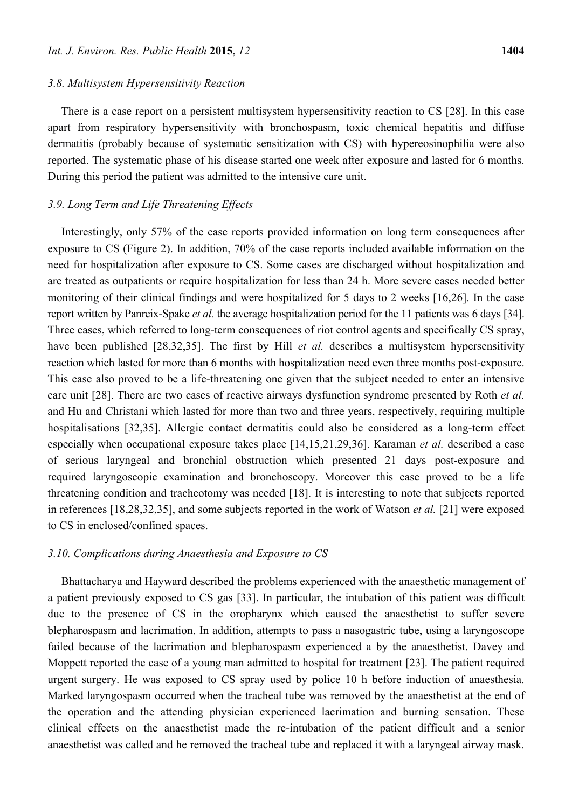#### *3.8. Multisystem Hypersensitivity Reaction*

There is a case report on a persistent multisystem hypersensitivity reaction to CS [28]. In this case apart from respiratory hypersensitivity with bronchospasm, toxic chemical hepatitis and diffuse dermatitis (probably because of systematic sensitization with CS) with hypereosinophilia were also reported. The systematic phase of his disease started one week after exposure and lasted for 6 months. During this period the patient was admitted to the intensive care unit.

## *3.9. Long Term and Life Threatening Effects*

Interestingly, only 57% of the case reports provided information on long term consequences after exposure to CS (Figure 2). In addition, 70% of the case reports included available information on the need for hospitalization after exposure to CS. Some cases are discharged without hospitalization and are treated as outpatients or require hospitalization for less than 24 h. More severe cases needed better monitoring of their clinical findings and were hospitalized for 5 days to 2 weeks [16,26]. In the case report written by Panreix-Spake *et al.* the average hospitalization period for the 11 patients was 6 days [34]. Three cases, which referred to long-term consequences of riot control agents and specifically CS spray, have been published [28,32,35]. The first by Hill *et al.* describes a multisystem hypersensitivity reaction which lasted for more than 6 months with hospitalization need even three months post-exposure. This case also proved to be a life-threatening one given that the subject needed to enter an intensive care unit [28]. There are two cases of reactive airways dysfunction syndrome presented by Roth *et al.* and Hu and Christani which lasted for more than two and three years, respectively, requiring multiple hospitalisations [32,35]. Allergic contact dermatitis could also be considered as a long-term effect especially when occupational exposure takes place [14,15,21,29,36]. Karaman *et al.* described a case of serious laryngeal and bronchial obstruction which presented 21 days post-exposure and required laryngoscopic examination and bronchoscopy. Moreover this case proved to be a life threatening condition and tracheotomy was needed [18]. It is interesting to note that subjects reported in references [18,28,32,35], and some subjects reported in the work of Watson *et al.* [21] were exposed to CS in enclosed/confined spaces.

#### *3.10. Complications during Anaesthesia and Exposure to CS*

Bhattacharya and Hayward described the problems experienced with the anaesthetic management of a patient previously exposed to CS gas [33]. In particular, the intubation of this patient was difficult due to the presence of CS in the oropharynx which caused the anaesthetist to suffer severe blepharospasm and lacrimation. In addition, attempts to pass a nasogastric tube, using a laryngoscope failed because of the lacrimation and blepharospasm experienced a by the anaesthetist. Davey and Moppett reported the case of a young man admitted to hospital for treatment [23]. The patient required urgent surgery. He was exposed to CS spray used by police 10 h before induction of anaesthesia. Marked laryngospasm occurred when the tracheal tube was removed by the anaesthetist at the end of the operation and the attending physician experienced lacrimation and burning sensation. These clinical effects on the anaesthetist made the re-intubation of the patient difficult and a senior anaesthetist was called and he removed the tracheal tube and replaced it with a laryngeal airway mask.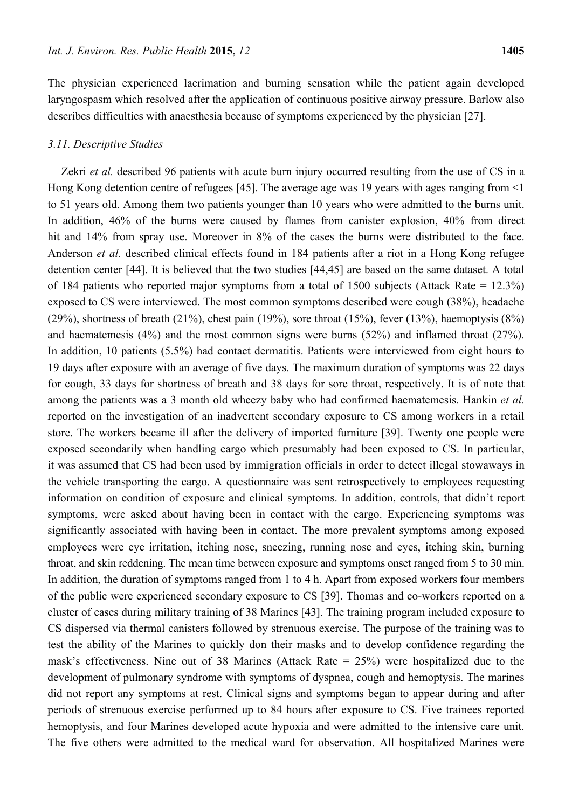The physician experienced lacrimation and burning sensation while the patient again developed laryngospasm which resolved after the application of continuous positive airway pressure. Barlow also describes difficulties with anaesthesia because of symptoms experienced by the physician [27].

# *3.11. Descriptive Studies*

Zekri *et al.* described 96 patients with acute burn injury occurred resulting from the use of CS in a Hong Kong detention centre of refugees [45]. The average age was 19 years with ages ranging from <1 to 51 years old. Among them two patients younger than 10 years who were admitted to the burns unit. In addition, 46% of the burns were caused by flames from canister explosion, 40% from direct hit and 14% from spray use. Moreover in 8% of the cases the burns were distributed to the face. Anderson *et al.* described clinical effects found in 184 patients after a riot in a Hong Kong refugee detention center [44]. It is believed that the two studies [44,45] are based on the same dataset. A total of 184 patients who reported major symptoms from a total of 1500 subjects (Attack Rate = 12.3%) exposed to CS were interviewed. The most common symptoms described were cough (38%), headache (29%), shortness of breath (21%), chest pain (19%), sore throat (15%), fever (13%), haemoptysis (8%) and haematemesis (4%) and the most common signs were burns (52%) and inflamed throat (27%). In addition, 10 patients (5.5%) had contact dermatitis. Patients were interviewed from eight hours to 19 days after exposure with an average of five days. The maximum duration of symptoms was 22 days for cough, 33 days for shortness of breath and 38 days for sore throat, respectively. It is of note that among the patients was a 3 month old wheezy baby who had confirmed haematemesis. Hankin *et al.* reported on the investigation of an inadvertent secondary exposure to CS among workers in a retail store. The workers became ill after the delivery of imported furniture [39]. Twenty one people were exposed secondarily when handling cargo which presumably had been exposed to CS. In particular, it was assumed that CS had been used by immigration officials in order to detect illegal stowaways in the vehicle transporting the cargo. A questionnaire was sent retrospectively to employees requesting information on condition of exposure and clinical symptoms. In addition, controls, that didn't report symptoms, were asked about having been in contact with the cargo. Experiencing symptoms was significantly associated with having been in contact. The more prevalent symptoms among exposed employees were eye irritation, itching nose, sneezing, running nose and eyes, itching skin, burning throat, and skin reddening. The mean time between exposure and symptoms onset ranged from 5 to 30 min. In addition, the duration of symptoms ranged from 1 to 4 h. Apart from exposed workers four members of the public were experienced secondary exposure to CS [39]. Thomas and co-workers reported on a cluster of cases during military training of 38 Marines [43]. The training program included exposure to CS dispersed via thermal canisters followed by strenuous exercise. The purpose of the training was to test the ability of the Marines to quickly don their masks and to develop confidence regarding the mask's effectiveness. Nine out of 38 Marines (Attack Rate = 25%) were hospitalized due to the development of pulmonary syndrome with symptoms of dyspnea, cough and hemoptysis. The marines did not report any symptoms at rest. Clinical signs and symptoms began to appear during and after periods of strenuous exercise performed up to 84 hours after exposure to CS. Five trainees reported hemoptysis, and four Marines developed acute hypoxia and were admitted to the intensive care unit. The five others were admitted to the medical ward for observation. All hospitalized Marines were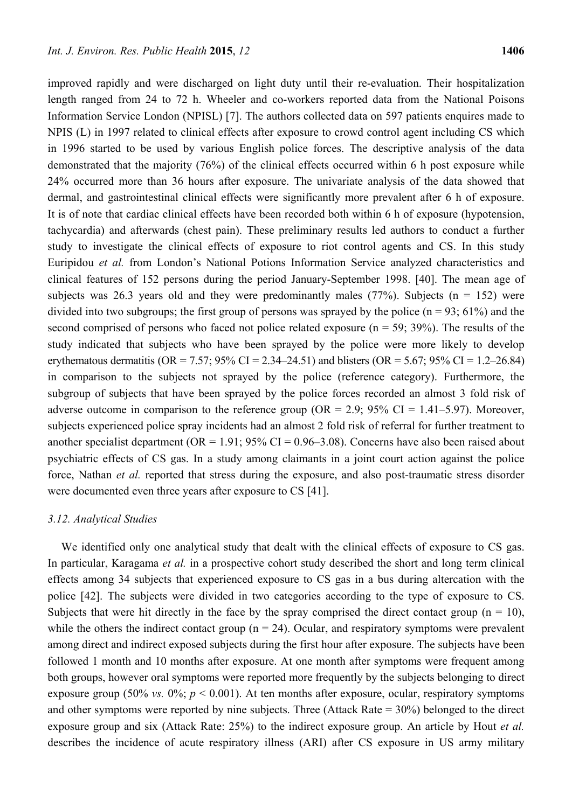improved rapidly and were discharged on light duty until their re-evaluation. Their hospitalization length ranged from 24 to 72 h. Wheeler and co-workers reported data from the National Poisons Information Service London (NPISL) [7]. The authors collected data on 597 patients enquires made to NPIS (L) in 1997 related to clinical effects after exposure to crowd control agent including CS which in 1996 started to be used by various English police forces. The descriptive analysis of the data demonstrated that the majority (76%) of the clinical effects occurred within 6 h post exposure while 24% occurred more than 36 hours after exposure. The univariate analysis of the data showed that dermal, and gastrointestinal clinical effects were significantly more prevalent after 6 h of exposure. It is of note that cardiac clinical effects have been recorded both within 6 h of exposure (hypotension, tachycardia) and afterwards (chest pain). These preliminary results led authors to conduct a further study to investigate the clinical effects of exposure to riot control agents and CS. In this study Euripidou *et al.* from London's National Potions Information Service analyzed characteristics and clinical features of 152 persons during the period January-September 1998. [40]. The mean age of subjects was 26.3 years old and they were predominantly males (77%). Subjects ( $n = 152$ ) were divided into two subgroups; the first group of persons was sprayed by the police ( $n = 93$ ; 61%) and the second comprised of persons who faced not police related exposure  $(n = 59, 39\%)$ . The results of the study indicated that subjects who have been sprayed by the police were more likely to develop erythematous dermatitis (OR = 7.57; 95% CI = 2.34–24.51) and blisters (OR = 5.67; 95% CI = 1.2–26.84) in comparison to the subjects not sprayed by the police (reference category). Furthermore, the subgroup of subjects that have been sprayed by the police forces recorded an almost 3 fold risk of adverse outcome in comparison to the reference group ( $OR = 2.9$ ;  $95\%$  CI = 1.41–5.97). Moreover, subjects experienced police spray incidents had an almost 2 fold risk of referral for further treatment to another specialist department ( $OR = 1.91$ ; 95% CI = 0.96–3.08). Concerns have also been raised about psychiatric effects of CS gas. In a study among claimants in a joint court action against the police force, Nathan *et al.* reported that stress during the exposure, and also post-traumatic stress disorder were documented even three years after exposure to CS [41].

## *3.12. Analytical Studies*

We identified only one analytical study that dealt with the clinical effects of exposure to CS gas. In particular, Karagama *et al.* in a prospective cohort study described the short and long term clinical effects among 34 subjects that experienced exposure to CS gas in a bus during altercation with the police [42]. The subjects were divided in two categories according to the type of exposure to CS. Subjects that were hit directly in the face by the spray comprised the direct contact group ( $n = 10$ ), while the others the indirect contact group ( $n = 24$ ). Ocular, and respiratory symptoms were prevalent among direct and indirect exposed subjects during the first hour after exposure. The subjects have been followed 1 month and 10 months after exposure. At one month after symptoms were frequent among both groups, however oral symptoms were reported more frequently by the subjects belonging to direct exposure group (50% *vs.*  $0\%$ ;  $p < 0.001$ ). At ten months after exposure, ocular, respiratory symptoms and other symptoms were reported by nine subjects. Three (Attack Rate  $= 30\%$ ) belonged to the direct exposure group and six (Attack Rate: 25%) to the indirect exposure group. An article by Hout *et al.* describes the incidence of acute respiratory illness (ARI) after CS exposure in US army military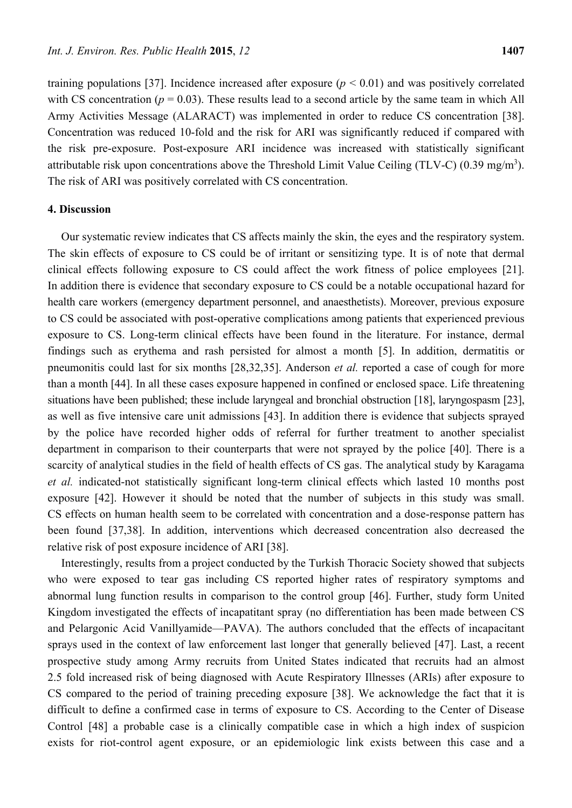training populations [37]. Incidence increased after exposure  $(p < 0.01)$  and was positively correlated with CS concentration ( $p = 0.03$ ). These results lead to a second article by the same team in which All Army Activities Message (ALARACT) was implemented in order to reduce CS concentration [38]. Concentration was reduced 10-fold and the risk for ARI was significantly reduced if compared with the risk pre-exposure. Post-exposure ARI incidence was increased with statistically significant attributable risk upon concentrations above the Threshold Limit Value Ceiling (TLV-C) (0.39 mg/m<sup>3</sup>). The risk of ARI was positively correlated with CS concentration.

# **4. Discussion**

Our systematic review indicates that CS affects mainly the skin, the eyes and the respiratory system. The skin effects of exposure to CS could be of irritant or sensitizing type. It is of note that dermal clinical effects following exposure to CS could affect the work fitness of police employees [21]. In addition there is evidence that secondary exposure to CS could be a notable occupational hazard for health care workers (emergency department personnel, and anaesthetists). Moreover, previous exposure to CS could be associated with post-operative complications among patients that experienced previous exposure to CS. Long-term clinical effects have been found in the literature. For instance, dermal findings such as erythema and rash persisted for almost a month [5]. In addition, dermatitis or pneumonitis could last for six months [28,32,35]. Anderson *et al.* reported a case of cough for more than a month [44]. In all these cases exposure happened in confined or enclosed space. Life threatening situations have been published; these include laryngeal and bronchial obstruction [18], laryngospasm [23], as well as five intensive care unit admissions [43]. In addition there is evidence that subjects sprayed by the police have recorded higher odds of referral for further treatment to another specialist department in comparison to their counterparts that were not sprayed by the police [40]. There is a scarcity of analytical studies in the field of health effects of CS gas. The analytical study by Karagama *et al.* indicated-not statistically significant long-term clinical effects which lasted 10 months post exposure [42]. However it should be noted that the number of subjects in this study was small. CS effects on human health seem to be correlated with concentration and a dose-response pattern has been found [37,38]. In addition, interventions which decreased concentration also decreased the relative risk of post exposure incidence of ARI [38].

Interestingly, results from a project conducted by the Turkish Thoracic Society showed that subjects who were exposed to tear gas including CS reported higher rates of respiratory symptoms and abnormal lung function results in comparison to the control group [46]. Further, study form United Kingdom investigated the effects of incapatitant spray (no differentiation has been made between CS and Pelargonic Acid Vanillyamide—PAVA). The authors concluded that the effects of incapacitant sprays used in the context of law enforcement last longer that generally believed [47]. Last, a recent prospective study among Army recruits from United States indicated that recruits had an almost 2.5 fold increased risk of being diagnosed with Acute Respiratory Illnesses (ARIs) after exposure to CS compared to the period of training preceding exposure [38]. We acknowledge the fact that it is difficult to define a confirmed case in terms of exposure to CS. According to the Center of Disease Control [48] a probable case is a clinically compatible case in which a high index of suspicion exists for riot-control agent exposure, or an epidemiologic link exists between this case and a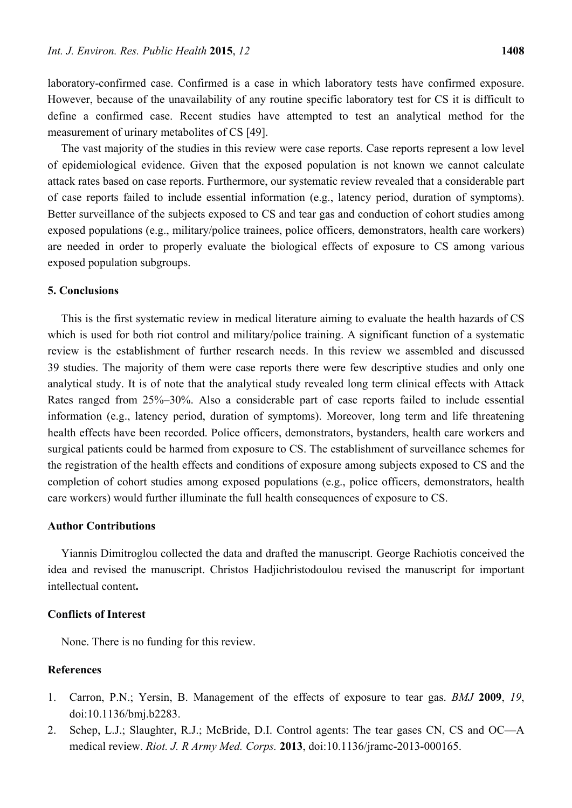laboratory-confirmed case. Confirmed is a case in which laboratory tests have confirmed exposure. However, because of the unavailability of any routine specific laboratory test for CS it is difficult to define a confirmed case. Recent studies have attempted to test an analytical method for the measurement of urinary metabolites of CS [49].

The vast majority of the studies in this review were case reports. Case reports represent a low level of epidemiological evidence. Given that the exposed population is not known we cannot calculate attack rates based on case reports. Furthermore, our systematic review revealed that a considerable part of case reports failed to include essential information (e.g., latency period, duration of symptoms). Better surveillance of the subjects exposed to CS and tear gas and conduction of cohort studies among exposed populations (e.g., military/police trainees, police officers, demonstrators, health care workers) are needed in order to properly evaluate the biological effects of exposure to CS among various exposed population subgroups.

# **5. Conclusions**

This is the first systematic review in medical literature aiming to evaluate the health hazards of CS which is used for both riot control and military/police training. A significant function of a systematic review is the establishment of further research needs. In this review we assembled and discussed 39 studies. The majority of them were case reports there were few descriptive studies and only one analytical study. It is of note that the analytical study revealed long term clinical effects with Attack Rates ranged from 25%–30%. Also a considerable part of case reports failed to include essential information (e.g., latency period, duration of symptoms). Moreover, long term and life threatening health effects have been recorded. Police officers, demonstrators, bystanders, health care workers and surgical patients could be harmed from exposure to CS. The establishment of surveillance schemes for the registration of the health effects and conditions of exposure among subjects exposed to CS and the completion of cohort studies among exposed populations (e.g., police officers, demonstrators, health care workers) would further illuminate the full health consequences of exposure to CS.

#### **Author Contributions**

Yiannis Dimitroglou collected the data and drafted the manuscript. George Rachiotis conceived the idea and revised the manuscript. Christos Hadjichristodoulou revised the manuscript for important intellectual content**.** 

#### **Conflicts of Interest**

None. There is no funding for this review.

# **References**

- 1. Carron, P.N.; Yersin, B. Management of the effects of exposure to tear gas. *BMJ* **2009**, *19*, doi:10.1136/bmj.b2283.
- 2. Schep, L.J.; Slaughter, R.J.; McBride, D.I. Control agents: The tear gases CN, CS and OC—A medical review. *Riot. J. R Army Med. Corps.* **2013**, doi:10.1136/jramc-2013-000165.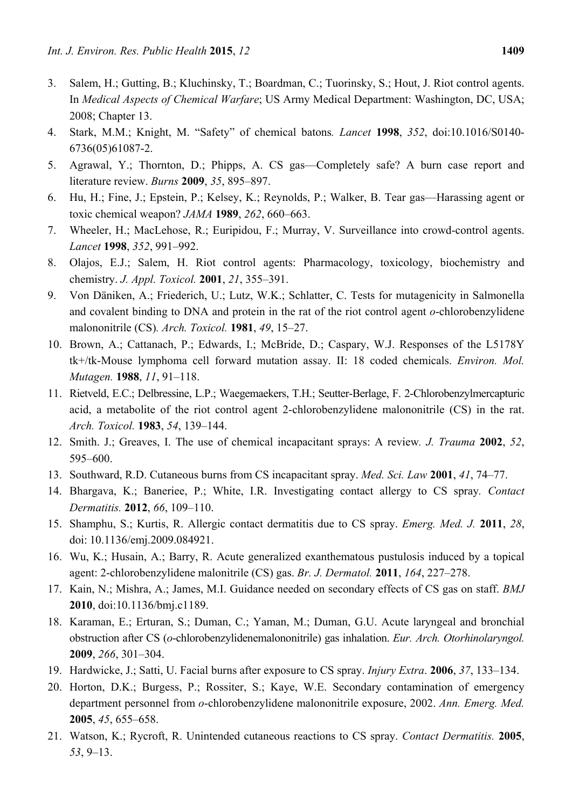- 3. Salem, H.; Gutting, B.; Kluchinsky, T.; Boardman, C.; Tuorinsky, S.; Hout, J. Riot control agents. In *Medical Aspects of Chemical Warfare*; US Army Medical Department: Washington, DC, USA; 2008; Chapter 13.
- 4. Stark, M.M.; Knight, M. "Safety" of chemical batons*. Lancet* **1998**, *352*, doi:10.1016/S0140- 6736(05)61087-2.
- 5. Agrawal, Y.; Thornton, D.; Phipps, A. CS gas—Completely safe? A burn case report and literature review. *Burns* **2009**, *35*, 895–897.
- 6. Hu, H.; Fine, J.; Epstein, P.; Kelsey, K.; Reynolds, P.; Walker, B. Tear gas—Harassing agent or toxic chemical weapon? *JAMA* **1989**, *262*, 660–663.
- 7. Wheeler, H.; MacLehose, R.; Euripidou, F.; Murray, V. Surveillance into crowd-control agents. *Lancet* **1998**, *352*, 991–992.
- 8. Olajos, E.J.; Salem, H. Riot control agents: Pharmacology, toxicology, biochemistry and chemistry. *J. Appl. Toxicol.* **2001**, *21*, 355–391.
- 9. Von Däniken, A.; Friederich, U.; Lutz, W.K.; Schlatter, C. Tests for mutagenicity in Salmonella and covalent binding to DNA and protein in the rat of the riot control agent *o*-chlorobenzylidene malononitrile (CS)*. Arch. Toxicol.* **1981**, *49*, 15–27.
- 10. Brown, A.; Cattanach, P.; Edwards, I.; McBride, D.; Caspary, W.J. Responses of the L5178Y tk+/tk-Mouse lymphoma cell forward mutation assay. II: 18 coded chemicals. *Environ. Mol. Mutagen.* **1988**, *11*, 91–118.
- 11. Rietveld, E.C.; Delbressine, L.P.; Waegemaekers, T.H.; Seutter-Berlage, F. 2-Chlorobenzylmercapturic acid, a metabolite of the riot control agent 2-chlorobenzylidene malononitrile (CS) in the rat. *Arch. Toxicol.* **1983**, *54*, 139–144.
- 12. Smith. J.; Greaves, I. The use of chemical incapacitant sprays: A review*. J. Trauma* **2002**, *52*, 595–600.
- 13. Southward, R.D. Cutaneous burns from CS incapacitant spray. *Med. Sci. Law* **2001**, *41*, 74–77.
- 14. Bhargava, K.; Baneriee, P.; White, I.R. Investigating contact allergy to CS spray*. Contact Dermatitis.* **2012**, *66*, 109–110.
- 15. Shamphu, S.; Kurtis, R. Allergic contact dermatitis due to CS spray. *Emerg. Med. J.* **2011**, *28*, doi: 10.1136/emj.2009.084921.
- 16. Wu, K.; Husain, A.; Barry, R. Acute generalized exanthematous pustulosis induced by a topical agent: 2-chlorobenzylidene malonitrile (CS) gas. *Br. J. Dermatol.* **2011**, *164*, 227–278.
- 17. Kain, N.; Mishra, A.; James, M.I. Guidance needed on secondary effects of CS gas on staff. *BMJ*  **2010**, doi:10.1136/bmj.c1189.
- 18. Karaman, E.; Erturan, S.; Duman, C.; Yaman, M.; Duman, G.U. Acute laryngeal and bronchial obstruction after CS (*o*-chlorobenzylidenemalononitrile) gas inhalation. *Eur. Arch. Otorhinolaryngol.* **2009**, *266*, 301–304.
- 19. Hardwicke, J.; Satti, U. Facial burns after exposure to CS spray. *Injury Extra*. **2006**, *37*, 133–134.
- 20. Horton, D.K.; Burgess, P.; Rossiter, S.; Kaye, W.E. Secondary contamination of emergency department personnel from *o*-chlorobenzylidene malononitrile exposure, 2002. *Ann. Emerg. Med.* **2005**, *45*, 655–658.
- 21. Watson, K.; Rycroft, R. Unintended cutaneous reactions to CS spray. *Contact Dermatitis.* **2005**, *53*, 9–13.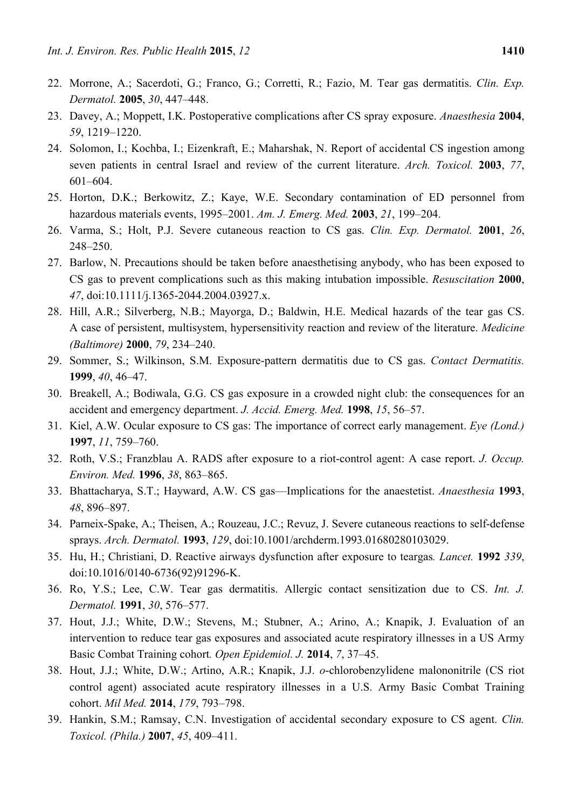- 22. Morrone, A.; Sacerdoti, G.; Franco, G.; Corretti, R.; Fazio, M. Tear gas dermatitis. *Clin. Exp. Dermatol.* **2005**, *30*, 447–448.
- 23. Davey, A.; Moppett, I.K. Postoperative complications after CS spray exposure. *Anaesthesia* **2004**, *59*, 1219–1220.
- 24. Solomon, I.; Kochba, I.; Eizenkraft, E.; Maharshak, N. Report of accidental CS ingestion among seven patients in central Israel and review of the current literature. *Arch. Toxicol.* **2003**, *77*, 601–604.
- 25. Horton, D.K.; Berkowitz, Z.; Kaye, W.E. Secondary contamination of ED personnel from hazardous materials events, 1995–2001. *Am. J. Emerg. Med.* **2003**, *21*, 199–204.
- 26. Varma, S.; Holt, P.J. Severe cutaneous reaction to CS gas. *Clin. Exp. Dermatol.* **2001**, *26*, 248–250.
- 27. Barlow, N. Precautions should be taken before anaesthetising anybody, who has been exposed to CS gas to prevent complications such as this making intubation impossible. *Resuscitation* **2000**, *47*, doi:10.1111/j.1365-2044.2004.03927.x.
- 28. Hill, A.R.; Silverberg, N.B.; Mayorga, D.; Baldwin, H.E. Medical hazards of the tear gas CS. A case of persistent, multisystem, hypersensitivity reaction and review of the literature. *Medicine (Baltimore)* **2000**, *79*, 234–240.
- 29. Sommer, S.; Wilkinson, S.M. Exposure-pattern dermatitis due to CS gas. *Contact Dermatitis.* **1999**, *40*, 46–47.
- 30. Breakell, A.; Bodiwala, G.G. CS gas exposure in a crowded night club: the consequences for an accident and emergency department. *J. Accid. Emerg. Med.* **1998**, *15*, 56–57.
- 31. Kiel, A.W. Ocular exposure to CS gas: The importance of correct early management. *Eye (Lond.)* **1997**, *11*, 759–760.
- 32. Roth, V.S.; Franzblau A. RADS after exposure to a riot-control agent: A case report. *J. Occup. Environ. Med.* **1996**, *38*, 863–865.
- 33. Bhattacharya, S.T.; Hayward, A.W. CS gas—Implications for the anaestetist. *Anaesthesia* **1993**, *48*, 896–897.
- 34. Parneix-Spake, A.; Theisen, A.; Rouzeau, J.C.; Revuz, J. Severe cutaneous reactions to self-defense sprays. *Arch. Dermatol.* **1993**, *129*, doi:10.1001/archderm.1993.01680280103029.
- 35. Hu, H.; Christiani, D. Reactive airways dysfunction after exposure to teargas*. Lancet.* **1992** *339*, doi:10.1016/0140-6736(92)91296-K.
- 36. Ro, Y.S.; Lee, C.W. Tear gas dermatitis. Allergic contact sensitization due to CS. *Int. J. Dermatol.* **1991**, *30*, 576–577.
- 37. Hout, J.J.; White, D.W.; Stevens, M.; Stubner, A.; Arino, A.; Knapik, J. Evaluation of an intervention to reduce tear gas exposures and associated acute respiratory illnesses in a US Army Basic Combat Training cohort*. Open Epidemiol. J.* **2014**, *7*, 37–45.
- 38. Hout, J.J.; White, D.W.; Artino, A.R.; Knapik, J.J. *o*-chlorobenzylidene malononitrile (CS riot control agent) associated acute respiratory illnesses in a U.S. Army Basic Combat Training cohort. *Mil Med.* **2014**, *179*, 793–798.
- 39. Hankin, S.M.; Ramsay, C.N. Investigation of accidental secondary exposure to CS agent. *Clin. Toxicol. (Phila.)* **2007**, *45*, 409–411.